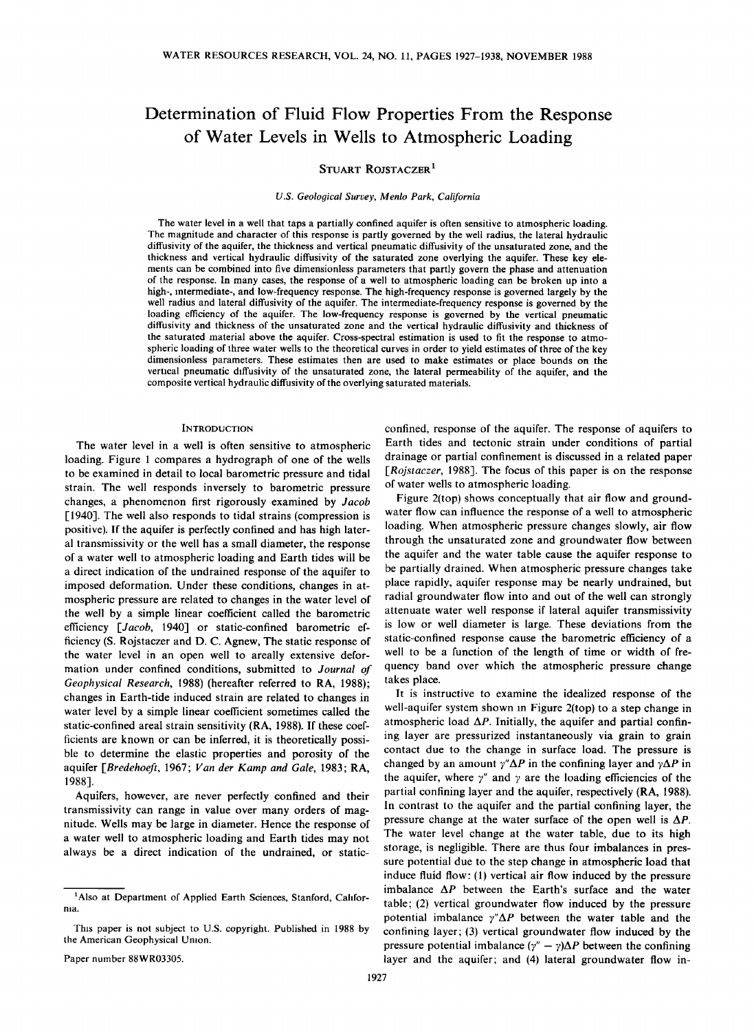# **Determination of Fluid Flow Properties From the Response of Water Levels in Wells to Atmospheric Loading**

## **STUART ROJSTACZER 1**

#### **U.S. Geological Survey, Menlo Park, California**

**The water level in a well that taps a partially confined aquifer is often sensitive to atmospheric loading. The magnitude and character of this response is partly governed by the well radius, the lateral hydraulic diffusivity of the aquifer, the thickness and vertical pneumatic diffusivity of the unsaturated zone, and the thickness and vertical hydraulic diffusivity of the saturated zone overlying the aquifer. These key elements can be combined into five dimensionless parameters that partly govern the phase and attenuation of the response. In many cases, the response of a well to atmospheric loading can be broken up into a high-, intermediate-, and low-frequency response. The high-frequency response is governed largely by the well radius and lateral diffusivity of the aquifer. The intermediate-frequency response is governed by the loading efficiency of the aquifer. The low-frequency response is governed by the vertical pneumatic diffusivity and thickness of the unsaturated zone and the vertical hydraulic diffusivity and thickness of the saturated material above the aquifer. Cross-spectral estimation is used to fit the response to atmospheric loading of three water wells to the theoretical curves in order to yield estimates of three of the key dimensionless parameters. These estimates then are used to make estimates or place bounds on the vertical pneumatic diffusivity of the unsaturated zone, the lateral permeability of the aquifer, and the composite vertical hydraulic diffusivity of the overlying saturated materials.** 

#### **INTRODUCTION**

**The water level in a well is often sensitive to atmospheric loading. Figure 1 compares a hydrograph of one of the wells to be examined in detail to local barometric pressure and tidal strain. The well responds inversely to barometric pressure**  changes, a phenomenon first rigorously examined by *Jacob* **[1940]. The well also responds to tidal strains (compression is positive). If the aquifer is perfectly confined and has high lateral transmissivity or the well has a small diameter, the response of a water well to atmospheric loading and Earth tides will be a direct indication of the undrained response of the aquifer to imposed deformation. Under these conditions, changes in atmospheric pressure are related to changes in the water level of the well by a simple linear coefficient called the barometric**  efficiency [Jacob, 1940] or static-confined barometric ef**ficiency (S. Rojstaczer and D.C. Agnew, The static response of the water level in an open well to areally extensive defor**mation under confined conditions, submitted to Journal of **Geophysical Research, 1988) (hereafter referred to RA, 1988); changes in Earth-tide induced strain are related to changes in water level by a simple linear coefficient sometimes called the static-confined areal strain sensitivity (RA, 1988). If these coefficients are known or can be inferred, it is theoretically possible to determine the elastic properties and porosity of the aquifer [-Bredehoefi, 1967; Van der Kamp and Gale, 1983; RA, 19883.** 

**Aquifers, however, are never perfectly confined and their transmissivity can range in value over many orders of magnitude. Wells may be large in diameter. Hence the response of a water well to atmospheric loading and Earth tides may not always be a direct indication of the undrained, or static-**  **confined, response of the aquifer. The response of aquifers to Earth tides and tectonic strain under conditions of partial drainage or partial confinement is discussed in a related paper [Rojstaczer, 1988]. The focus of this paper is on the response of water wells to atmospheric loading.** 

**Figure 2(top) shows conceptually that air flow and groundwater flow can influence the response of a well to atmospheric loading. When atmospheric pressure changes slowly, air flow through the unsaturated zone and groundwater flow between the aquifer and the water table cause the aquifer response to be partially drained. When atmospheric pressure changes take place rapidly, aquifer response may be nearly undrained, but radial groundwater flow into and out of the well can strongly attenuate water well response if lateral aquifer transmissivity is low or well diameter is large. These deviations from the static-confined response cause the barometric efficiency of a well to be a function of the length of time or width of frequency band over which the atmospheric pressure change takes place.** 

**It is instructive to examine the idealized response of the well-aquifer system shown in Figure 2(top) to a step change in atmospheric load AP. Initially, the aquifer and partial confining layer are pressurized instantaneously via grain to grain contact due to the change in surface load. The pressure is**  changed by an amount  $\gamma''\Delta P$  in the confining layer and  $\gamma\Delta P$  in the aquifer, where  $\gamma''$  and  $\gamma$  are the loading efficiencies of the **partial confining layer and the aquifer, respectively (RA, 1988). In contrast to the aquifer and the partial confining layer, the**  pressure change at the water surface of the open well is  $\Delta P$ . **The water level change at the water table, due to its high storage, is negligible. There are thus four imbalances in pressure potential due to the step change in atmospheric load that induce fluid flow: (1) vertical air flow induced by the pressure imbalance AP between the Earth's surface and the water table; (2) vertical groundwater flow induced by the pressure**  potential imbalance  $\gamma''\Delta P$  between the water table and the **confining layer; (3) vertical groundwater flow induced by the pressure potential imbalance**  $(\gamma'' - \gamma)\Delta P$  between the confining **layer and the aquifer; and (4) lateral groundwater flow in-**

<sup>&</sup>lt;sup>1</sup>Also at Department of Applied Earth Sciences, Stanford, Califor**nia.** 

**This paper is not subject to U.S. copyright. Published in 1988 by the American Geophysical Union.**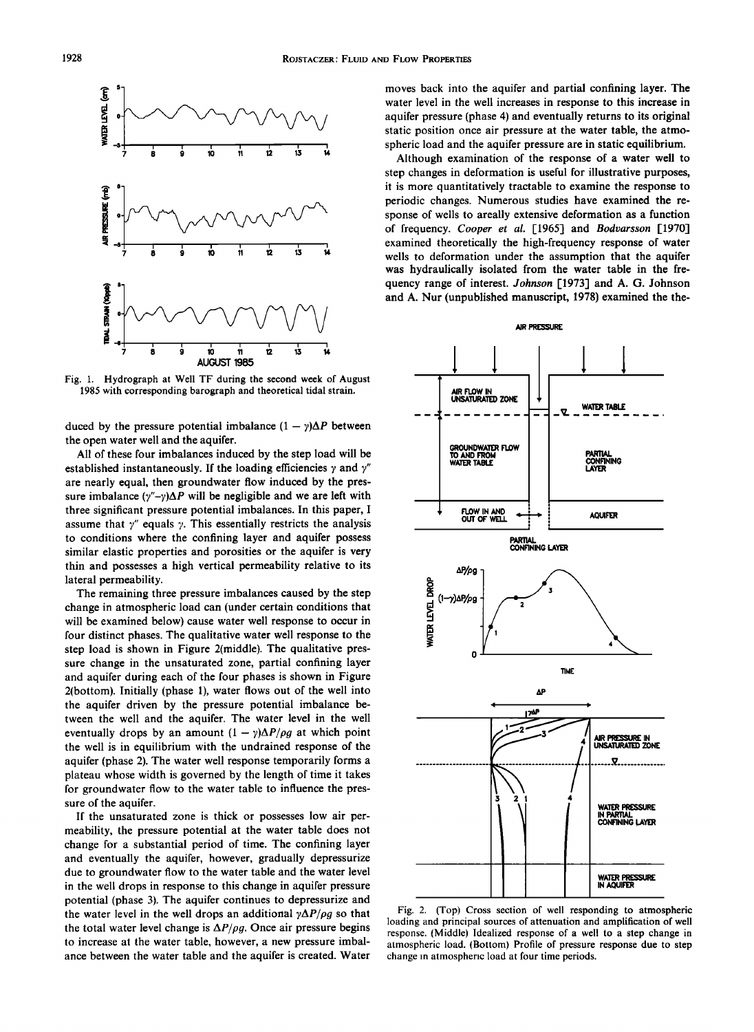

**Fig. 1. Hydrograph at Well TF during the second week of August 1985 with corresponding barograph and theoretical tidal strain.** 

duced by the pressure potential imbalance  $(1 - \gamma)\Delta P$  between **the open water well and the aquifer.** 

**All of these four imbalances induced by the step load will be**  established instantaneously. If the loading efficiencies  $\gamma$  and  $\gamma''$ **are nearly equal, then groundwater flow induced by the pres**sure imbalance  $(\gamma'' - \gamma)\Delta P$  will be negligible and we are left with **three significant pressure potential imbalances. In this paper, I**  assume that  $\gamma''$  equals  $\gamma$ . This essentially restricts the analysis **to conditions where the confining layer and aquifer possess similar elastic properties and porosities or the aquifer is very thin and possesses a high vertical permeability relative to its lateral permeability.** 

**The remaining three pressure imbalances caused by the step change in atmospheric load can (under certain conditions that will be examined below) cause water well response to occur in four distinct phases. The qualitative water well response to the step load is shown in Figure 2(middle). The qualitative pressure change in the unsaturated zone, partial confining layer and aquifer during each of the four phases is shown in Figure 2(bottom). Initially (phase 1), water flows out of the well into the aquifer driven by the pressure potential imbalance between the well and the aquifer. The water level in the well**  eventually drops by an amount  $(1 - \gamma)\Delta P/\rho g$  at which point **the well is in equilibrium with the undrained response of the aquifer (phase 2). The water well response temporarily forms a plateau whose width is governed by the length of time it takes for groundwater flow to the water table to influence the pressure of the aquifer.** 

**If the unsaturated zone is thick or possesses low air permeability, the pressure potential at the water table does not change for a substantial period of time. The confining layer and eventually the aquifer, however, gradually depressurize due to groundwater flow to the water table and the water level in the well drops in response to this change in aquifer pressure potential (phase 3). The aquifer continues to depressurize and**  the water level in the well drops an additional  $\gamma \Delta P / \rho g$  so that the total water level change is  $\Delta P/\rho g$ . Once air pressure begins **to increase at the water table, however, a new pressure imbalance between the water table and the aquifer is created. Water**  **moves back into the aquifer and partial confining layer. The water level in the well increases in response to this increase in aquifer pressure (phase 4) and eventually returns to its original static position once air pressure at the water table, the atmospheric load and the aquifer pressure are in static equilibrium.** 

**Although examination of the response of a water well to step changes in deformation is useful for illustrative purposes, it is more quantitatively tractable to examine the response to periodic changes. Numerous studies have examined the response of wells to areally extensive deformation as a function of frequency. Cooper et al. [1965] and Bodvarsson [1970] examined theoretically the high-frequency response of water wells to deformation under the assumption that the aquifer was hydraulically isolated from the water table in the frequency range of interest. Johnson [1973] and A. G. Johnson and A. Nur (unpublished manuscript, 1978) examined the the-**



**Fig. 2. (Top) Cross section of well responding to atmospheric loading and principal sources of attenuation and amplification of well response. (Middle) Idealized response of a well to a step change in atmospheric load. (Bottom) Profile of pressure response due to step change in atmospheric load at four time periods.**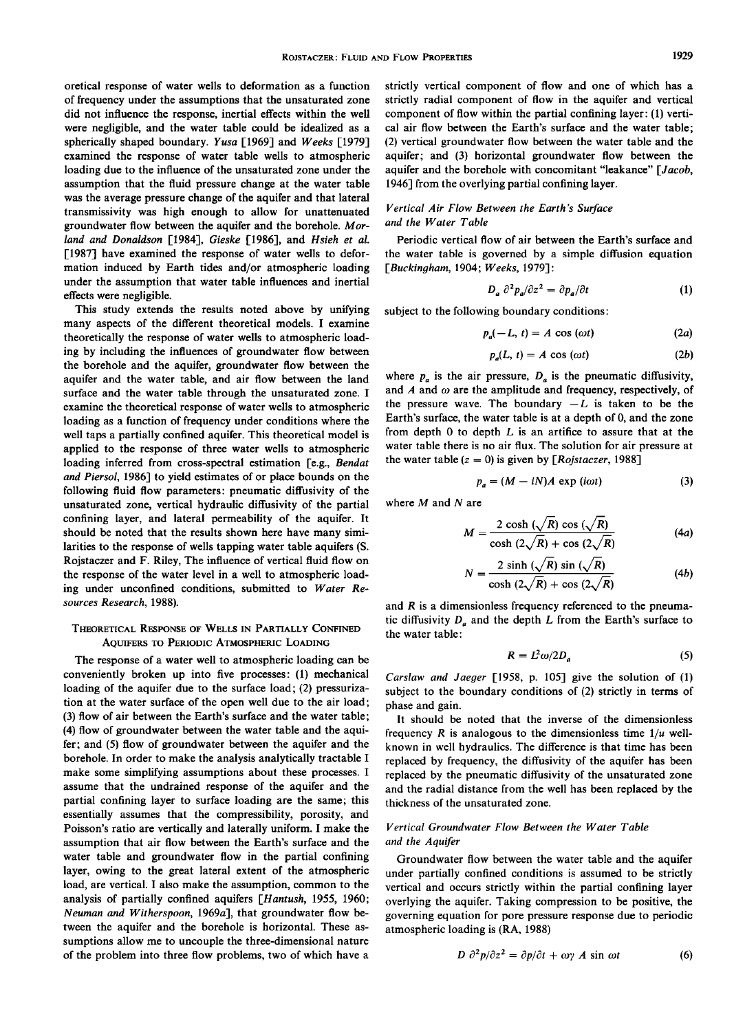**oretical response of water wells to deformation as a function of frequency under the assumptions that the unsaturated zone did not influence the response, inertial effects within the well were negligible, and the water table could be idealized as a spherically shaped boundary. Yusa [1969] and Weeks [1979] examined the response of water table wells to atmospheric loading due to the influence of the unsaturated zone under the assumption that the fluid pressure change at the water table was the average pressure change of the aquifer and that lateral transmissivity was high enough to allow for unattenuated groundwater flow between the aquifer and the borehole. Motland and Donaldson [1984], Gieske [1986], and Hsieh et al. •1987] have examined the response of water wells to deformation induced by Earth tides and/or atmospheric loading under the assumption that water table influences and inertial effects were negligible.** 

**This study extends the results noted above by unifying many aspects of the different theoretical models. I examine theoretically the response of water wells to atmospheric load**ing by including the influences of groundwater flow between **the borehole and the aquifer, groundwater flow between the aquifer and the water table, and air flow between the land surface and the water table through the unsaturated zone. I examine the theoretical response of water wells to atmospheric loading as a function of frequency under conditions where the well taps a partially confined aquifer. This theoretical model is applied to the response of three water wells to atmospheric**  loading inferred from cross-spectral estimation [e.g., Bendat **and Piersol, 1986] to yield estimates of or place bounds on the following fluid flow parameters: pneumatic diffusivity of the unsaturated zone, vertical hydraulic diffusivity of the partial confining layer, and lateral permeability of the aquifer. It should be noted that the results shown here have many similarities to the response of wells tapping water table aquifers (S. Rojstaczer and F. Riley, The influence of vertical fluid flow on the response of the water level in a well to atmospheric loading under unconfined conditions, submitted to Water Resources Research, 1988).** 

# **THEORETICAL RESPONSE OF WELLS IN PARTIALLY CONFINED AQUIFERS TO PERIODIC ATMOSPHERIC LOADING**

**The response of a water well to atmospheric loading can be conveniently broken up into five processes: (1) mechanical loading of the aquifer due to the surface load; (2) pressurization at the water surface of the open well due to the air load; (3) flow of air between the Earth's surface and the water table; (4) flow of groundwater between the water table and the aquifer; and (5) flow of groundwater between the aquifer and the borehole. In order to make the analysis analytically tractable I make some simplifying assumptions about these processes. I assume that the undrained response of the aquifer and the partial confining layer to surface loading are the same; this essentially assumes that the compressibility, porosity, and Poisson's ratio are vertically and laterally uniform. I make the assumption that air flow between the Earth's surface and the water table and groundwater flow in the partial confining layer, owing to the great lateral extent of the atmospheric load, are vertical. I also make the assumption, common to the analysis of partially confined aquifers [Hantush, 1955, 1960; Neurnan and Witherspoon, 1969a], that groundwater flow between the aquifer and the borehole is horizontal. These assumptions allow me to uncouple the three-dimensional nature of the problem into three flow problems, two of which have a**  **strictly vertical component of flow and one of which has a strictly radial component of flow in the aquifer and vertical component of flow within the partial confining layer: (1) vertical air flow between the Earth's surface and the water table; (2) vertical groundwater flow between the water table and the aquifer; and (3) horizontal groundwater flow between the aquifer and the borehole with concomitant "leakance" [Jacob, 1946] from the overlying partial confining layer.** 

# **Vertical Air Flow Between the Earth's Surface and the Water Table**

**Periodic vertical flow of air between the Earth's surface and the water table is governed by a simple diffusion equation [Buckingham, 1904; Weeks, 1979]:** 

$$
D_a \partial^2 p_a / \partial z^2 = \partial p_a / \partial t \tag{1}
$$

**subject to the following boundary conditions:** 

$$
p_a(-L, t) = A \cos(\omega t) \tag{2a}
$$

$$
p_a(L, t) = A \cos(\omega t) \tag{2b}
$$

where  $p_a$  is the air pressure,  $D_a$  is the pneumatic diffusivity, and  $A$  and  $\omega$  are the amplitude and frequency, respectively, of the pressure wave. The boundary  $-L$  is taken to be the **Earth's surface, the water table is at a depth of 0, and the zone from depth 0 to depth L is an artifice to assure that at the water table there is no air flux. The solution for air pressure at**  the water table  $(z = 0)$  is given by [*Rojstaczer*, 1988]

$$
p_a = (M - iN)A \, \exp(i\omega t) \tag{3}
$$

**where M and N are** 

$$
M = \frac{2\cosh\left(\sqrt{R}\right)\cos\left(\sqrt{R}\right)}{\cosh\left(2\sqrt{R}\right) + \cos\left(2\sqrt{R}\right)}\tag{4a}
$$

$$
N = \frac{2 \sinh\left(\sqrt{R}\right) \sin\left(\sqrt{R}\right)}{\cosh\left(2\sqrt{R}\right) + \cos\left(2\sqrt{R}\right)}\tag{4b}
$$

**and R is a dimensionless frequency referenced to the pneuma**tic diffusivity  $D_a$  and the depth  $L$  from the Earth's surface to **the water table:** 

$$
R = L^2 \omega / 2D_a \tag{5}
$$

**Carslaw and Jaeger [1958, p. 105] give the solution of (1) subject to the boundary conditions of (2) strictly in terms of phase and gain.** 

**It should be noted that the inverse of the dimensionless frequency R is analogous to the dimensionless time 1/u wellknown in well hydraulics. The difference is that time has been replaced by frequency, the diffusivity of the aquifer has been replaced by the pneumatic diffusivity of the unsaturated zone and the radial distance from the well has been replaced by the thickness of the unsaturated zone.** 

# **Vertical Groundwater Flow Between the Water Table and the Aquifer**

**Groundwater flow between the water table and the aquifer under partially confined conditions is assumed to be strictly vertical and occurs strictly within the partial confining layer overlying the aquifer. Taking compression to be positive, the governing equation for pore pressure response due to periodic atmospheric loading is (RA, 1988)** 

$$
D \frac{\partial^2 p}{\partial z^2} = \frac{\partial p}{\partial t} + \omega \gamma A \sin \omega t \tag{6}
$$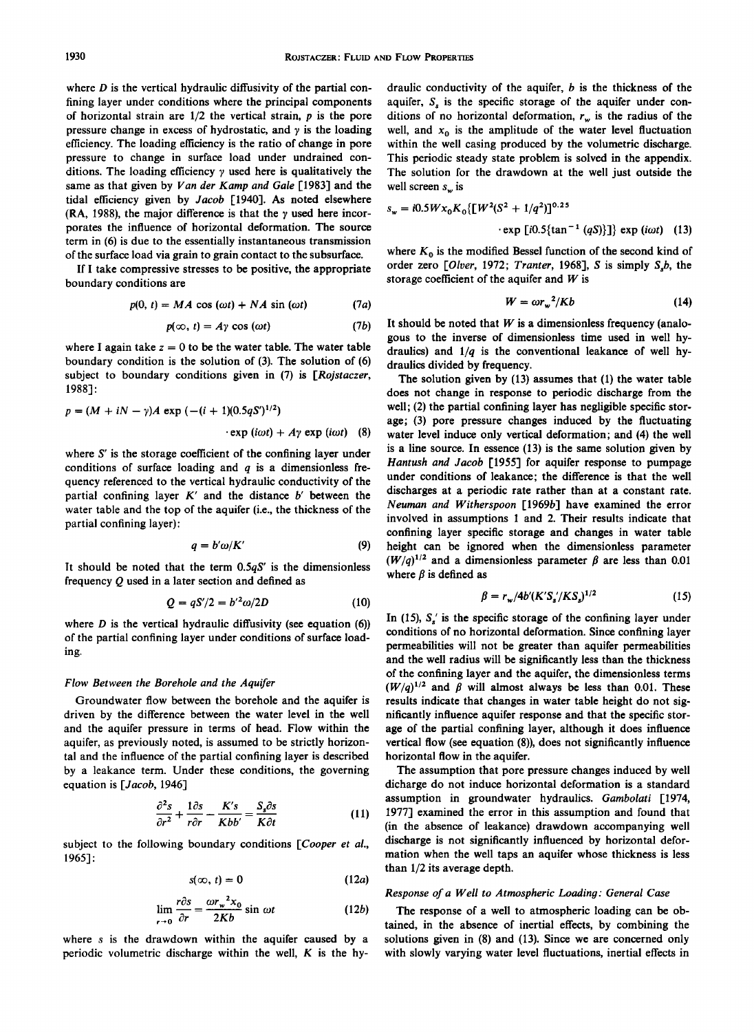where *D* is the vertical hydraulic diffusivity of the partial con**fining layer under conditions where the principal components of horizontal strain are 1/2 the vertical strain, p is the pore**  pressure change in excess of hydrostatic, and  $\gamma$  is the loading **efficiency. The loading efficiency is the ratio of change in pore pressure to change in surface load under undrained con**ditions. The loading efficiency  $\gamma$  used here is qualitatively the same as that given by *Van der Kamp and Gale* [1983] and the **tidal efficiency given by Jacob [1940]. As noted elsewhere (RA, 1988), the major difference is that the y used here incorporates the influence of horizontal deformation. The source term in (6) is due to the essentially instantaneous transmission of the surface load via grain to grain contact to the subsurface.** 

**If I take compressive stresses to be positive, the appropriate boundary conditions are** 

$$
p(0, t) = MA \cos (\omega t) + NA \sin (\omega t) \tag{7a}
$$

$$
p(\infty, t) = A\gamma \cos(\omega t) \tag{7b}
$$

where I again take  $z = 0$  to be the water table. The water table **boundary condition is the solution of (3). The solution of (6) subject to boundary conditions given in (7) is [Rojstaczer, 1988]:** 

$$
p = (M + iN - \gamma)A \exp(-(i + 1)(0.5qS')^{1/2})
$$
  
exp (i\omega t) + A $\gamma$ exp (i\omega t) (8)

**where S' is the storage coefficient of the confining layer under conditions of surface loading and q is a dimensionless frequency referenced to the vertical hydraulic conductivity of the**  partial confining layer  $K'$  and the distance  $b'$  between the **water table and the top of the aquifer (i.e., the thickness of the partial confining layer):** 

$$
q = b' \omega / K' \tag{9}
$$

**It should be noted that the term 0.5qS' is the dimensionless frequency Q used in a later section and defined as** 

$$
Q = qS'/2 = b'^2\omega/2D \tag{10}
$$

**where D is the vertical hydraulic diffusivity (see equation (6)) of the partial confining layer under conditions of surface loading.** 

#### **Flow Between the Borehole and the Aquifer**

**Groundwater flow between the borehole and the aquifer is driven by the difference between the water level in the well and the aquifer pressure in terms of head. Flow within the aquifer, as previously noted, is assumed to be strictly horizontal and the influence of the partial confining layer is described by a leakance term. Under these conditions, the governing equation is [Jacob, 1946]** 

$$
\frac{\partial^2 s}{\partial r^2} + \frac{1 \partial s}{r \partial r} - \frac{K's}{K b b'} = \frac{S_s \partial s}{K \partial t}
$$
(11)

**subject to the following boundary conditions [Cooper et al., 1965]:** 

$$
s(\infty, t) = 0 \tag{12a}
$$

$$
\lim_{r \to 0} \frac{r \partial s}{\partial r} = \frac{\omega r_w^2 x_0}{2Kb} \sin \omega t \tag{12b}
$$

**where s is the drawdown within the aquifer caused by a periodic volumetric discharge within the well, K is the hy-** **draulic conductivity of the aquifer, b is the thickness of the**  aquifer, S<sub>r</sub> is the specific storage of the aquifer under conditions of no horizontal deformation,  $r_w$  is the radius of the well, and  $x_0$  is the amplitude of the water level fluctuation **within the well casing produced by the volumetric discharge. This periodic steady state problem is solved in the appendix. The solution for the drawdown at the well just outside the**  well screen s<sub>w</sub> is

$$
s_w = i0.5Wx_0K_0\{[W^2(S^2 + 1/q^2)]^{0.25}
$$
  
exp [i0.5{tan<sup>-1</sup> (qS)}]\exp (iωt) (13)

where  $K_0$  is the modified Bessel function of the second kind of order zero [Olver, 1972; Tranter, 1968], S is simply S<sub>r</sub>b, the **storage coefficient of the aquifer and W is** 

$$
W = \omega r_w^2 / K b \tag{14}
$$

**It should be noted that W is a dimensionless frequency (analogous to the inverse of dimensionless time used in well hydraulics) and 1/q is the conventional leakance of well hydraulics divided by frequency.** 

**The solution given by (13) assumes that (1) the water table does not change in response to periodic discharge from the well; (2) the partial confining layer has negligible specific storage; (3) pore pressure changes induced by the fluctuating water level induce only vertical deformation; and (4) the well is a line source. In essence (13) is the same solution given by**  Hantush and Jacob [1955] for aquifer response to pumpage **under conditions of leakance; the difference is that the well discharges at a periodic rate rather than at a constant rate. Neuman and Witherspoon [1969b] have examined the error involved in assumptions 1 and 2. Their results indicate that confining layer specific storage and changes in water table height can be ignored when the dimensionless parameter**   $(W/q)^{1/2}$  and a dimensionless parameter  $\beta$  are less than 0.01 where  $\beta$  is defined as

$$
\beta = r_w/4b'(K'S'_s/KS_s)^{1/2}
$$
 (15)

In (15),  $S'_s$  is the specific storage of the confining layer under **conditions of no horizontal deformation. Since confining layer permeabilities will not be greater than aquifer permeabilities and the well radius will be significantly less than the thickness of the confining layer and the aquifer, the dimensionless terms**   $(W/q)^{1/2}$  and  $\beta$  will almost always be less than 0.01. These **results indicate that changes in water table height do not significantly influence aquifer response and that the specific storage of the partial confining layer, although it does influence vertical flow (see equation (8)), does not significantly influence horizontal flow in the aquifer.** 

**The assumption that pore pressure changes induced by well dicharge do not induce horizontal deformation is a standard assumption in groundwater hydraulics. Gambolati [1974, 1977] examined the error in this assumption and found that (in the absence of leakance) drawdown accompanying well discharge is not significantly influenced by horizontal deformation when the well taps an aquifer whose thickness is less than 1/2 its average depth.** 

#### **Response of a Well to Atmospheric Loading: General Case**

**The response of a well to atmospheric loading can be obtained, in the absence of inertial effects, by combining the solutions given in (8) and (13). Since we are concerned only with slowly varying water level fluctuations, inertial effects in**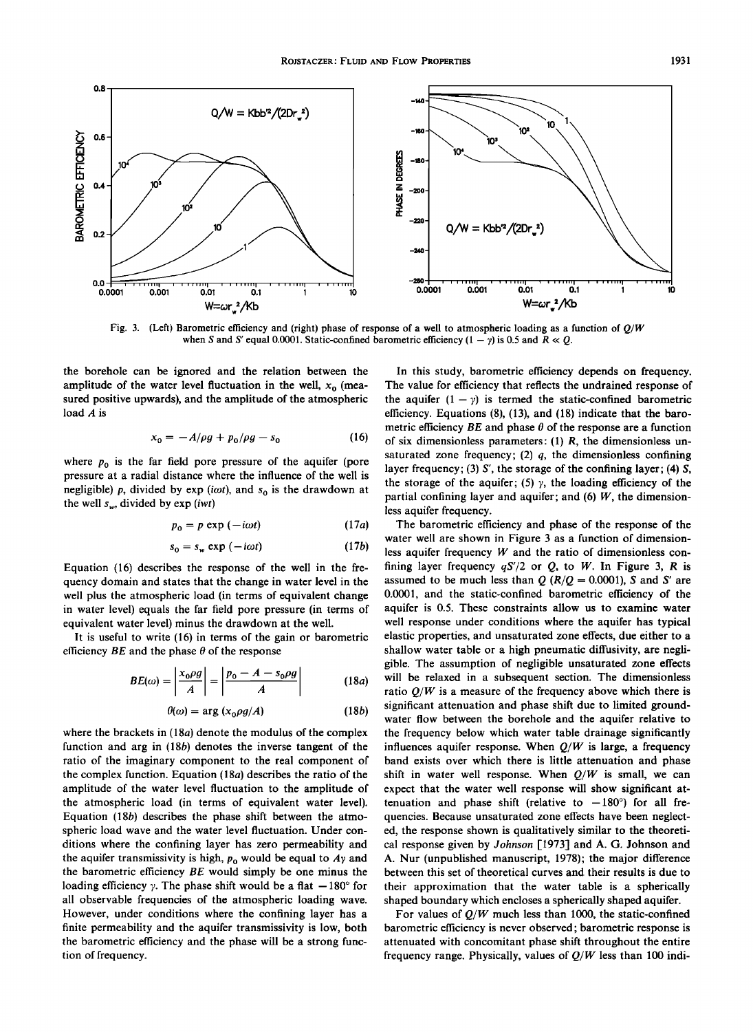

**Fig. 3. (Left) Barometric efficiency and (right) phase of response of a well to atmospheric loading as a function of Q/W**  when S and S' equal 0.0001. Static-confined barometric efficiency  $(1 - \gamma)$  is 0.5 and  $R \ll Q$ .

**the borehole can be ignored and the relation between the**  amplitude of the water level fluctuation in the well,  $x_0$  (mea**sured positive upwards), and the amplitude of the atmospheric**  load A is

$$
x_0 = -A/\rho g + p_0/\rho g - s_0 \tag{16}
$$

where  $p_0$  is the far field pore pressure of the aquifer (pore **pressure at a radial distance where the influence of the well is**  negligible) p, divided by exp (i $\omega t$ ), and  $s_0$  is the drawdown at the well  $s_w$ , divided by  $exp(iwt)$ 

$$
p_0 = p \exp(-i\omega t) \tag{17a}
$$

$$
s_0 = s_w \exp(-i\omega t) \tag{17b}
$$

**Equation (16) describes the response of the well in the frequency domain and states that the change in water level in the well plus the atmospheric load (in terms of equivalent change in water level) equals the far field pore pressure (in terms of equivalent water level) minus the drawdown at the well.** 

**It is useful to write (16) in terms of the gain or barometric**  efficiency  $BE$  and the phase  $\theta$  of the response

$$
BE(\omega) = \left| \frac{x_0 \rho g}{A} \right| = \left| \frac{p_0 - A - s_0 \rho g}{A} \right| \tag{18a}
$$

 $\theta(\omega) = \arg(x_0 \rho g/A)$  (18b)

**where the brackets in (18a) denote the modulus of the complex function and arg in (18b) denotes the inverse tangent of the ratio of the imaginary component to the real component of the complex function. Equation (18a) describes the ratio of the amplitude of the water level fluctuation to the amplitude of the atmospheric load (in terms of equivalent water level). Equation (18b) describes the phase shift between the atmospheric load wave and the water level fluctuation. Under conditions where the confining layer has zero permeability and**  the aquifer transmissivity is high,  $p_0$  would be equal to  $Ay$  and **the barometric efficiency BE would simply be one minus the**  loading efficiency  $\gamma$ . The phase shift would be a flat  $-180^\circ$  for **all observable frequencies of the atmospheric loading wave. However, under conditions where the confining layer has a finite permeability and the aquifer transmissivity is low, both the barometric efficiency and the phase will be a strong function of frequency.** 

**In this study, barometric efficiency depends on frequency. The value for efficiency that reflects the undrained response of**  the aquifer  $(1 - y)$  is termed the static-confined barometric **efficiency. Equations (8}, (13), and (18) indicate that the baro**metric efficiency  $BE$  and phase  $\theta$  of the response are a function **of six dimensionless parameters: (1) R, the dimensionless unsaturated zone frequency; (2) q, the dimensionless confining layer frequency; (3) S', the storage of the confining layer; (4) S,**  the storage of the aquifer; (5)  $\gamma$ , the loading efficiency of the **partial confining layer and aquifer; and (6) W, the dimensionless aquifer frequency.** 

**The barometric efficiency and phase of the response of the water well are shown in Figure 3 as a function of dimensionless aquifer frequency W and the ratio of dimensionless confining layer frequency qS'/2 or Q, to W. In Figure 3, R is**  assumed to be much less than  $Q (R/Q = 0.0001)$ , S and S' are **0.0001, and the static-confined barometric efficiency of the aquifer is 0.5. These constraints allow us to examine water well response under conditions where the aquifer has typical elastic properties, and unsaturated zone effects, due either to a shallow water table or a high pneumatic diffusivity, are negligible. The assumption of negligible unsaturated zone effects will be relaxed in a subsequent section. The dimensionless**  ratio  $Q/W$  is a measure of the frequency above which there is **significant attenuation and phase shift due to limited groundwater flow between the borehole and the aquifer relative to the frequency below which water table drainage significantly influences aquifer response. When Q/W is large, a frequency band exists over which there is little attenuation and phase shift in water well response. When Q/W is small, we can expect that the water well response will show significant at**tenuation and phase shift (relative to  $-180^\circ$ ) for all fre**quencies. Because unsaturated zone effects have been neglected, the response shown is qualitatively similar to the theoretical response given by Johnson [1973] and A. G. Johnson and A. Nur (unpublished manuscript, 1978); the major difference between this set of theoretical curves and their results is due to their approximation that the water table is a spherically shaped boundary which encloses a spherically shaped aquifer.** 

**For values of Q/W much less than 1000, the static-confined barometric efficiency is never observed; barometric response is attenuated with concomitant phase shift throughout the entire frequency range. Physically, values of Q/W less than 100 indi-**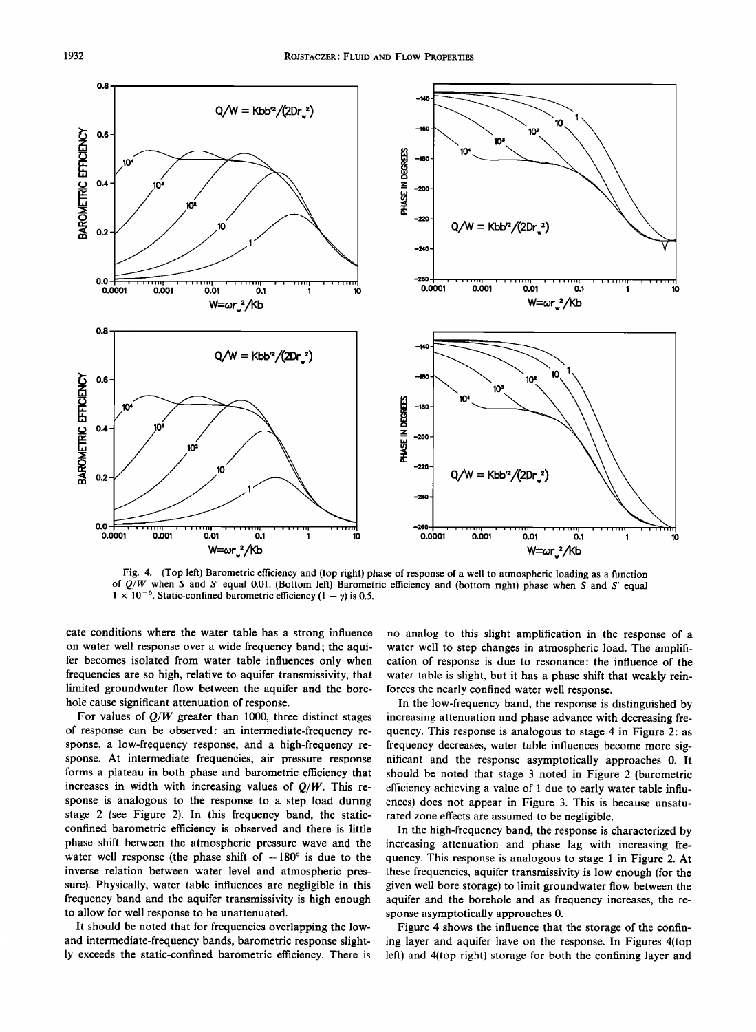

**Fig. 4. (Top left) Barometric efficiency and (top right) phase of response of a well to atmospheric loading as a function of Q/W when S and S' equal 0.01. (Bottom left) Barometric efficiency and (bottom right) phase when S and S' equal**   $1 \times 10^{-6}$ . Static-confined barometric efficiency  $(1 - \gamma)$  is 0.5.

**cate conditions where the water table has a strong influence on water well response over a wide frequency band; the aquifer becomes isolated from water table influences only when frequencies are so high, relative to aquifer transmissivity, that limited groundwater flow between the aquifer and the borehole cause significant attenuation of response.** 

**For values of Q/W greater than 1000, three distinct stages of response can be observed: an intermediate-frequency response, a low-frequency response, and a high-frequency response. At intermediate frequencies, air pressure response forms a plateau in both phase and barometric efficiency that increases in width with increasing values of Q/W. This response is analogous to the response to a step load during stage 2 (see Figure 2). In this frequency band, the staticconfined barometric efficiency is observed and there is little phase shift between the atmospheric pressure wave and the**  water well response (the phase shift of  $-180^\circ$  is due to the **inverse relation between water level and atmospheric pressure). Physically, water table influences are negligible in this frequency band and the aquifer transmissivity is high enough to allow for well response to be unattenuated.** 

**It should be noted that for frequencies overlapping the lowand intermediate-frequency bands, barometric response slightly exceeds the static-confined barometric efficiency. There is**  **no analog to this slight amplification in the response of a water well to step changes in atmospheric load. The amplification of response is due to resonance: the influence of the water table is slight, but it has a phase shift that weakly reinforces the nearly confined water well response.** 

**In the low-frequency band, the response is distinguished by increasing attenuation and phase advance with decreasing frequency. This response is analogous to stage 4 in Figure 2: as frequency decreases, water table influences become more significant and the response asymptotically approaches 0. It should be noted that stage 3 noted in Figure 2 (barometric efficiency achieving a value of 1 due to early water table influences) does not appear in Figure 3. This is because unsaturated zone effects are assumed to be negligible.** 

**In the high-frequency band, the response is characterized by increasing attenuation and phase lag with increasing frequency. This response is analogous to stage 1 in Figure 2. At these frequencies, aquifer transmissivity is low enough (for the given well bore storage) to limit groundwater flow between the aquifer and the borehole and as frequency increases, the response asymptotically approaches 0.** 

**Figure 4 shows the influence that the storage of the confining layer and aquifer have on the response. In Figures 4(top left) and 4(top right) storage for both the confining layer and**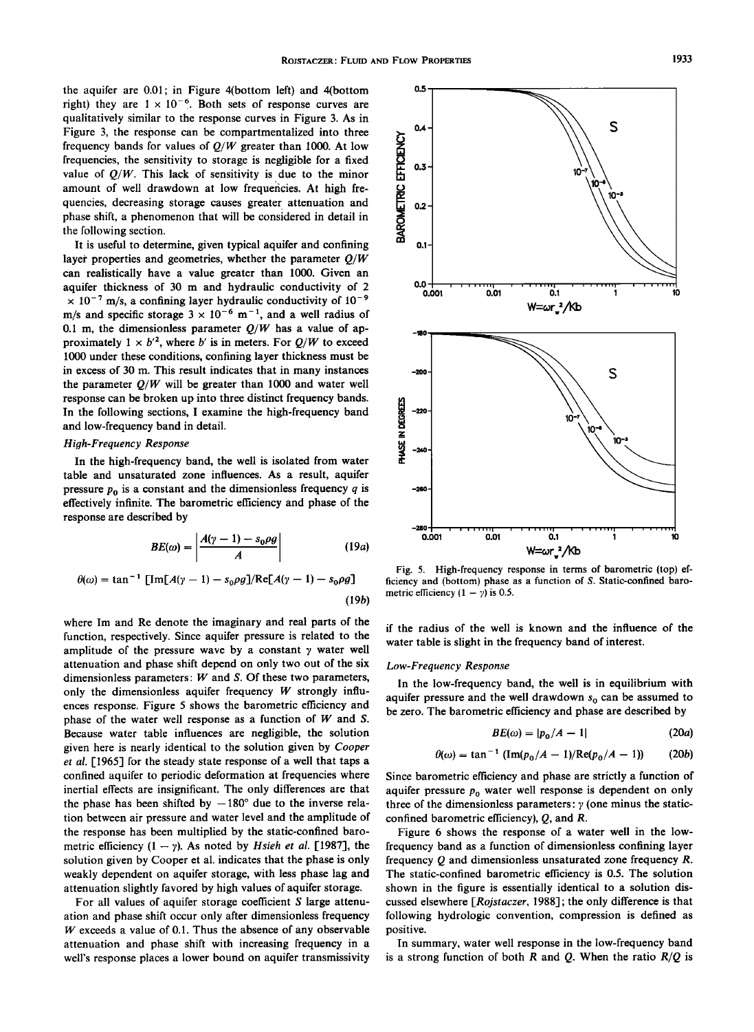**the aquifer are 0.01; in Figure 4(bottom left) and 4(bottom**  right) they are  $1 \times 10^{-6}$ . Both sets of response curves are **qualitatively similar to the response curves in Figure 3. As in Figure 3, the response can be compartmentalized into three frequency bands for values of Q/W greater than 1000. At low frequencies, the sensitivity to storage is negligible for a fixed**  value of  $Q/W$ . This lack of sensitivity is due to the minor **amount of well drawdown at low frequencies. At high fre**quencies, decreasing storage causes greater attenuation and **phase shift, a phenomenon that will be considered in detail in the following section.** 

**It is useful to determine, given typical aquifer and confining layer properties and geometries, whether the parameter Q/W can realistically have a value greater than 1000. Given an aquifer thickness of 30 m and hydraulic conductivity of 2**   $\times$  10<sup>-7</sup> m/s, a confining layer hydraulic conductivity of 10<sup>-9</sup> m/s and specific storage  $3 \times 10^{-6}$  m<sup>-1</sup>, and a well radius of 0.1 m, the dimensionless parameter  $Q/W$  has a value of approximately  $1 \times b'^2$ , where b' is in meters. For  $Q/W$  to exceed **1000 under these conditions, confining layer thickness must be in excess of 30 m. This result indicates that in many instances**  the parameter  $Q/W$  will be greater than 1000 and water well **response can be broken up into three distinct frequency bands. In the following sections, I examine the high-frequency band and low-frequency band in detail.** 

#### **High-Frequency Response**

**In the high-frequency band, the well is isolated from water table and unsaturated zone influences. As a result, aquifer pressure**  $p_0$  **is a constant and the dimensionless frequency q is effectively infinite. The barometric efficiency and phase of the response are described by** 

$$
BE(\omega) = \left| \frac{A(\gamma - 1) - s_0 \rho g}{A} \right| \tag{19a}
$$

$$
\theta(\omega) = \tan^{-1} \left[ \text{Im}[A(\gamma - 1) - s_0 \rho g] / \text{Re}[A(\gamma - 1) - s_0 \rho g] \right]
$$
\n(19b)

**where Im and Re denote the imaginary and real parts of the function, respectively. Since aquifer pressure is related to the**  amplitude of the pressure wave by a constant  $\gamma$  water well **attenuation and phase shift depend on only two out of the six dimensionless parameters: W and S. Of these two parameters, only the dimensionless aquifer frequency W strongly influences response. Figure 5 shows the barometric efficiency and phase of the water well response as a function of W and S. Because water table influences are negligible, the solution given here is nearly identical to the solution given by Cooper et al. [1965] for the steady state response of a well that taps a confined aquifer to periodic deformation at frequencies where inertial effects are insignificant. The only differences are that**  the phase has been shifted by  $-180^\circ$  due to the inverse rela**tion between air pressure and water level and the amplitude of the response has been multiplied by the static-confined baro**metric efficiency  $(1 - y)$ . As noted by *Hsieh et al.* [1987], the **solution given by Cooper et al. indicates that the phase is only weakly dependent on aquifer storage, with less phase lag and attenuation slightly favored by high values of aquifer storage.** 

**For all values of aquifer storage coefficient S large attenuation and phase shift occur only after dimensionless frequency W exceeds a value of 0.1. Thus the absence of any observable attenuation and phase shift with increasing frequency in a well's response places a lower bound on aquifer transmissivity** 



**Fig. 5. High-frequency response in terms of barometric (top) ficiency and (bottom) phase as a function of \$. Static-confined barometric efficiency**  $(1 - \gamma)$  is 0.5.

**if the radius of the well is known and the influence of the water table is slight in the frequency band of interest.** 

#### **Low-Frequency Response**

**In the low-frequency band, the well is in equilibrium with**  aquifer pressure and the well drawdown  $s_0$  can be assumed to **be zero. The barometric efficiency and phase are described by** 

$$
BE(\omega) = |p_0/A - 1| \tag{20a}
$$

$$
\theta(\omega) = \tan^{-1} \left( \text{Im}(p_0/A - 1) / \text{Re}(p_0/A - 1) \right) \tag{20b}
$$

**Since barometric efficiency and phase are strictly a function of**  aquifer pressure  $p_0$  water well response is dependent on only three of the dimensionless parameters:  $\gamma$  (one minus the static**confined barometric efficiency), Q, and R.** 

**Figure 6 shows the response of a water well in the lowfrequency band as a function of dimensionless confining layer frequency Q and dimensionless unsaturated zone frequency R. The static-confined barometric efficiency is 0.5. The solution shown in the figure is essentially identical to a solution discussed elsewhere [Rojstaczer, 1988]; the only difference is that following hydrologic convention, compression is defined as positive.** 

**In summary, water well response in the low-frequency band is a strong function of both R and Q. When the ratio R/Q is**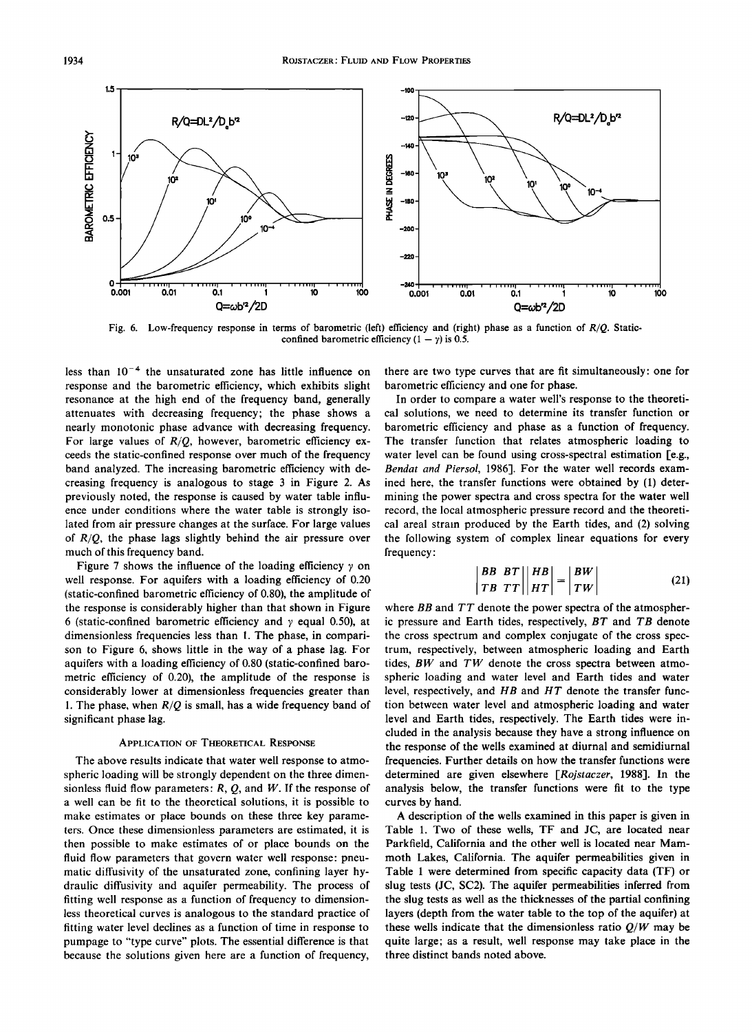

**Fig. 6. Low-frequency response in terms of barometric (left) efficiency and (right) phase as a function of R/Q. Static**confined barometric efficiency  $(1 - \gamma)$  is 0.5.

less than 10<sup>-4</sup> the unsaturated zone has little influence on **response and the barometric efficiency, which exhibits slight resonance at the high end of the frequency band, generally attenuates with decreasing frequency; the phase shows a nearly monotonic phase advance with decreasing frequency. For large values of R/Q, however, barometric efficiency exceeds the static-confined response over much of the frequency band analyzed. The increasing barometric efficiency with decreasing frequency is analogous to stage 3 in Figure 2. As previously noted, the response is caused by water table influence under conditions where the water table is strongly isolated from air pressure changes at the surface. For large values of R/Q, the phase lags slightly behind the air pressure over much of this frequency band.** 

Figure 7 shows the influence of the loading efficiency  $\gamma$  on **well response. For aquifers with a loading efficiency of 0.20 (static-confined barometric efficiency of 0.80), the amplitude of the response is considerably higher than that shown in Figure 6** (static-confined barometric efficiency and  $\gamma$  equal 0.50), at **dimensionless frequencies less than 1. The phase, in comparison to Figure 6, shows little in the way of a phase lag. For aquifers with a loading efficiency of 0.80 (static-confined barometric efficiency of 0.20), the amplitude of the response is considerably lower at dimensionless frequencies greater than 1. The phase, when R/Q is small, has a wide frequency band of significant phase lag.** 

#### **APPLICATION OF THEORETICAL RESPONSE**

**The above results indicate that water well response to atmospheric loading will be strongly dependent on the three dimensionless fluid flow parameters: R, Q, and W. If the response of a well can be fit to the theoretical solutions, it is possible to make estimates or place bounds on these three key parameters. Once these dimensionless parameters are estimated, it is then possible to make estimates of or place bounds on the fluid flow parameters that govern water well response: pneumatic diffusivity of the unsaturated zone, confining layer hydraulic diffusivity and aquifer permeability. The process of fitting well response as a function of frequency to dimensionless theoretical curves is analogous to the standard practice of fitting water level declines as a function of time in response to pumpage to "type curve" plots. The essential difference is that because the solutions given here are a function of frequency,**  **there are two type curves that are fit simultaneously: one for barometric efficiency and one for phase.** 

**In order to compare a water well's response to the theoretical solutions, we need to determine its transfer function or barometric efficiency and phase as a function of frequency. The transfer function that relates atmospheric loading to water level can be found using cross-spectral estimation [e.g., Bendat and Piersol, 1986]. For the water well records examined here, the transfer functions were obtained by (1) determining the power spectra and cross spectra for the water well record, the local atmospheric pressure record and the theoretical areal strain produced by the Earth tides, and (2) solving the following system of complex linear equations for every frequency:** 

$$
\begin{vmatrix} BB & BT \\ TB & TT \end{vmatrix} \begin{vmatrix} HB \\ HT \end{vmatrix} = \begin{vmatrix} BW \\ TW \end{vmatrix}
$$
 (21)

**where BB and TT denote the power spectra of the atmospheric pressure and Earth tides, respectively, BT and TB denote the cross spectrum and complex conjugate of the cross spectrum, respectively, between atmospheric loading and Earth tides, BW and TW denote the cross spectra between atmospheric loading and water level and Earth tides and water**  level, respectively, and HB and HT denote the transfer func**tion between water level and atmospheric loading and water level and Earth tides, respectively. The Earth tides were included in the analysis because they have a strong influence on the response of the wells examined at diurnal and semidiurnal frequencies. Further details on how the transfer functions were determined are given elsewhere [Rojstaczer, 1988]. In the analysis below, the transfer functions were fit to the type curves by hand.** 

**A description of the wells examined in this paper is given in Table 1. Two of these wells, TF and JC, are located near Parkfield, California and the other well is located near Mammoth Lakes, California. The aquifer permeabilities given in Table 1 were determined from specific capacity data (TF) or slug tests (JC, SC2). The aquifer permeabilities inferred from the slug tests as well as the thicknesses of the partial confining layers (depth from the water table to the top of the aquifer) at these wells indicate that the dimensionless ratio Q/W may be quite large; as a result, well response may take place in the three distinct bands noted above.**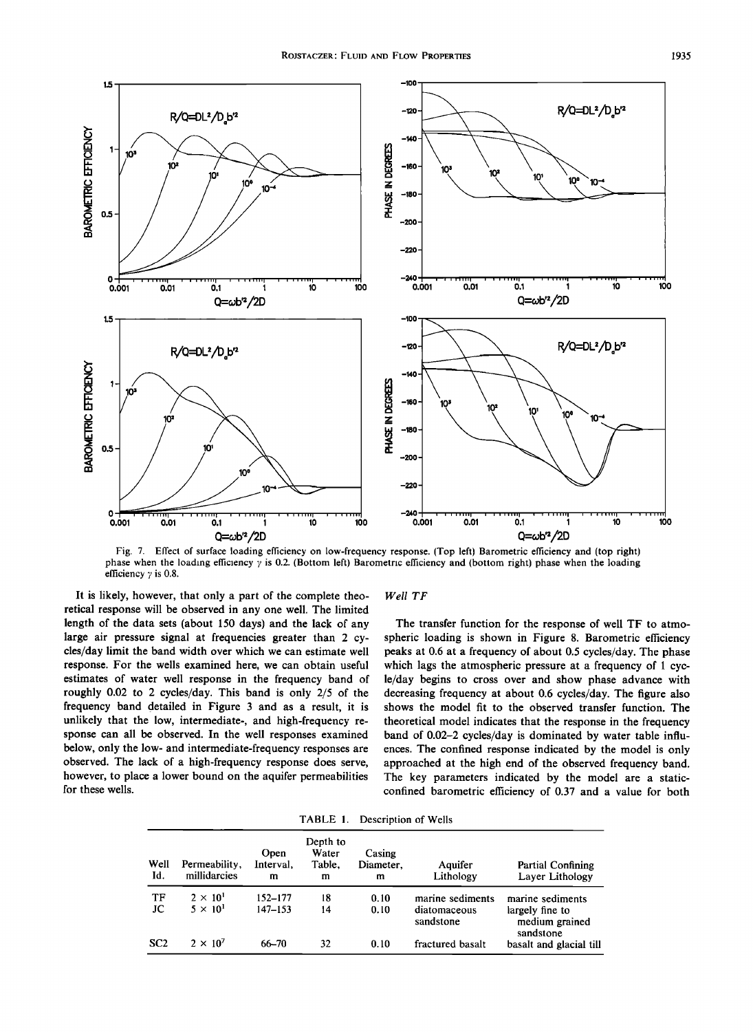

**Fig. 7. Effect of surface loading efficiency on low-frequency response. (Top left) Barometric efficiency and (top right) phase when the loading efficiency 7 is 0.2. (Bottom left) Barometric efficiency and (bottom right) phase when the loading efficiency**  $\gamma$  is 0.8.

**It is likely, however, that only a part of the complete theoretical response will be observed in any one well. The limited length of the data sets (about 150 days) and the lack of any**  large air pressure signal at frequencies greater than 2 cy**cles/day limit the band width over which we can estimate well response. For the wells examined here, we can obtain useful estimates of water well response in the frequency band of roughly 0.02 to 2 cycles/day. This band is only 2/5 of the frequency band detailed in Figure 3 and as a result, it is unlikely that the low, intermediate-, and high-frequency response can all be observed. In the well responses examined below, only the low- and intermediate-frequency responses are observed. The lack of a high-frequency response does serve, however, to place a lower bound on the aquifer permeabilities for these wells.** 

# **Well TF**

**The transfer function for the response of well TF to atmospheric loading is shown in Figure 8. Barometric efficiency peaks at 0.6 at a frequency of about 0.5 cycles/day. The phase which lags the atmospheric pressure at a frequency of 1 cycle/day begins to cross over and show phase advance with decreasing frequency at about 0.6 cycles/day. The figure also shows the model fit to the observed transfer function. The theoretical model indicates that the response in the frequency band of 0.02-2 cycles/day is dominated by water table influences. The confined response indicated by the model is only approached at the high end of the observed frequency band. The key parameters indicated by the model are a staticconfined barometric efficiency of 0.37 and a value for both** 

| Well<br>Id.     | Permeability,<br>millidarcies | Open<br>Interval.<br>m | Depth to<br>Water<br>Table.<br>m | Casing<br>Diameter,<br>m | Aquifer<br>Lithology      | <b>Partial Confining</b><br>Layer Lithology    |
|-----------------|-------------------------------|------------------------|----------------------------------|--------------------------|---------------------------|------------------------------------------------|
| TF              | $2 \times 10^{1}$             | 152–177                | 18                               | 0.10                     | marine sediments          | marine sediments                               |
| JC              | $5 \times 10^{1}$             | $147 - 153$            | 14                               | 0.10                     | diatomaceous<br>sandstone | largely fine to<br>medium grained<br>sandstone |
| SC <sub>2</sub> | $2 \times 10^7$               | 66–70                  | 32                               | 0.10                     | fractured basalt          | basalt and glacial till                        |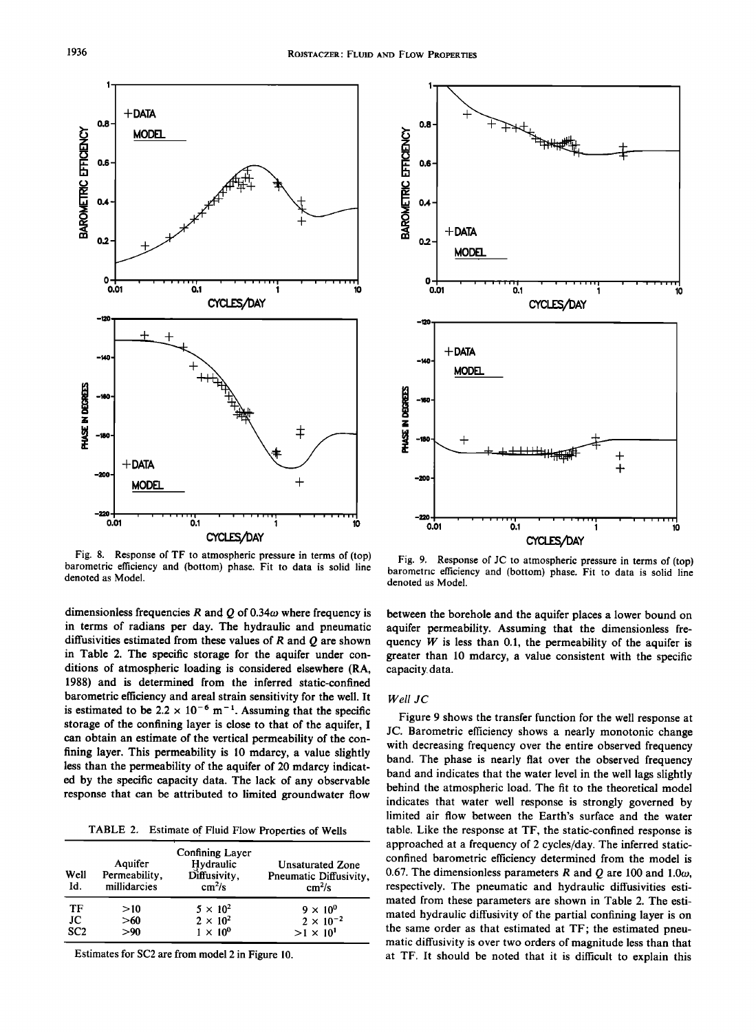

**Fig. 8. Response of TF to atmospheric pressure in terms of (top) barometric efficiency and (bottom) phase. Fit to data is solid line denoted as Model.** 

dimensionless frequencies R and  $Q$  of 0.34 $\omega$  where frequency is **in terms of radians per day. The hydraulic and pneumatic diffusivities estimated from these values of R and Q are shown in Table 2. The specific storage for the aquifer under conditions of atmospheric loading is considered elsewhere (RA, 1988) and is determined from the inferred static-confined barometric efficiency and areal strain sensitivity for the well. It**  is estimated to be  $2.2 \times 10^{-6}$  m<sup>-1</sup>. Assuming that the specific **storage of the confining layer is close to that of the aquifer, I can obtain an estimate of the vertical permeability of the confining layer. This permeability is 10 mdarcy, a value slightly less than the permeability of the aquifer of 20 mdarcy indicated by the specific capacity data. The lack of any observable response that can be attributed to limited groundwater flow** 

**TABLE 2. Estimate of Fluid Flow Properties of Wells** 

| Well<br>Id.     | Aquifer<br>Permeability,<br>millidarcies | <b>Confining Layer</b><br>Hydraulic<br>Diffusivity,<br>cm <sup>2</sup> /s | <b>Unsaturated Zone</b><br>Pneumatic Diffusivity,<br>cm <sup>2</sup> /s |
|-----------------|------------------------------------------|---------------------------------------------------------------------------|-------------------------------------------------------------------------|
| TF              | >10                                      | $5 \times 10^2$                                                           | $9 \times 10^{0}$                                                       |
| JC              | >60                                      | $2 \times 10^2$                                                           | $2 \times 10^{-2}$                                                      |
| SC <sub>2</sub> | >90                                      | $1 \times 10^{0}$                                                         | $>1 \times 10^{1}$                                                      |

**Estimates for SC2 are from model 2 in Figure 10.** 



**Fig. 9. Response of JC to atmospheric pressure in terms of (top) barometric efficiency and (bottom) phase. Fit to data is solid line denoted as Model.** 

**between the borehole and the aquifer places a lower bound on aquifer permeability. Assuming that the dimensionless frequency W is less than 0.1, the permeability of the aquifer is greater than 10 mdarcy, a value consistent with the specific capacity data.** 

## **Well JC**

**Figure 9 shows the transfer function for the well response at JC. Barometric efficiency shows a nearly monotonic change with decreasing frequency over the entire observed frequency band. The phase is nearly flat over the observed frequency band and indicates that the water level in the well lags slightly behind the atmospheric load. The fit to the theoretical model indicates that water well response is strongly governed by limited air flow between the Earth's surface and the water table. Like the response at TF, the static-confined response is approached at a frequency of 2 cycles/day. The inferred staticconfined barometric efficiency determined from the model is**  0.67. The dimensionless parameters  $R$  and  $Q$  are 100 and 1.0 $\omega$ , **respectively. The pneumatic and hydraulic diffusivities estimated from these parameters are shown in Table 2. The estimated hydraulic diffusivity of the partial confining layer is on the same order as that estimated at TF; the estimated pneumatic diffusivity is over two orders of magnitude less than that at TF. It should be noted that it is difficult to explain this**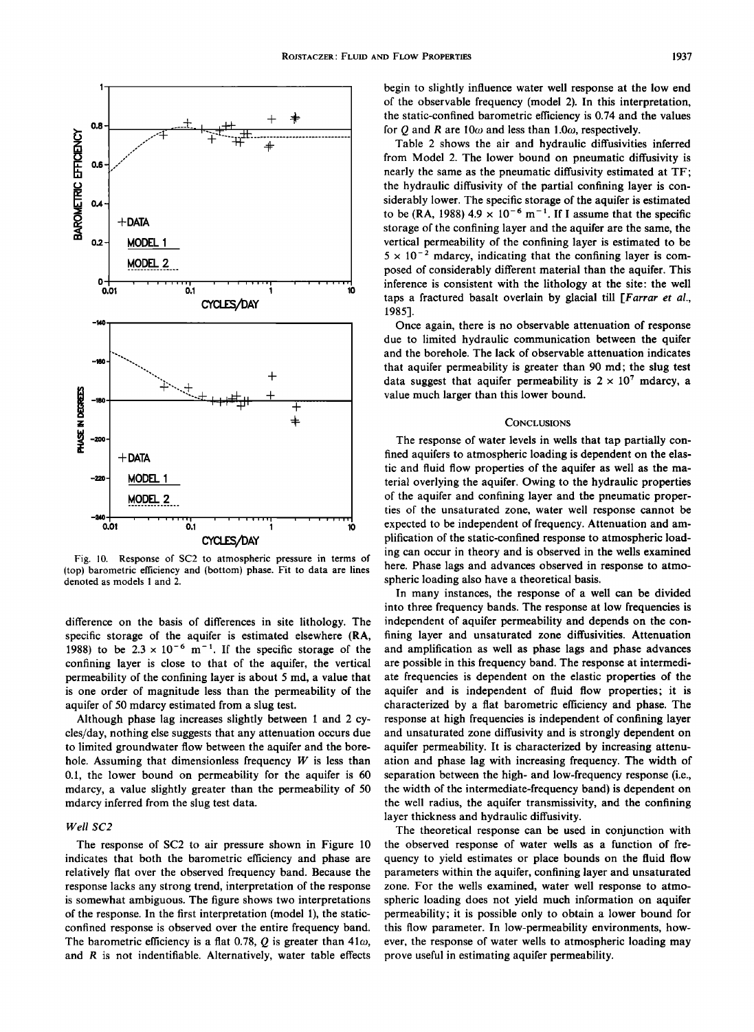

**Fig. 10. Response of SC2 to atmospheric pressure in terms of (top) barometric efficiency and (bottom) phase. Fit to data are lines denoted as models 1 and 2.** 

**difference on the basis of differences in site lithology. The specific storage of the aquifer is estimated elsewhere (RA,**  1988) to be  $2.3 \times 10^{-6}$  m<sup>-1</sup>. If the specific storage of the **confining layer is close to that of the aquifer, the vertical permeability of the confining layer is about 5 md, a value that is one order of magnitude less than the permeability of the aquifer of 50 mdarcy estimated from a slug test.** 

**Although phase lag increases slightly between 1 and 2 cycles/day, nothing else suggests that any attenuation occurs due to limited groundwater flow between the aquifer and the borehole. Assuming that dimensionless frequency W is less than 0.1, the lower bound on permeability for the aquifer is 60 mdarcy, a value slightly greater than the permeability of 50 mdarcy inferred from the slug test data.** 

## **Well SC2**

**The response of SC2 to air pressure shown in Figure 10 indicates that both the barometric efficiency and phase are relatively flat over the observed frequency band. Because the response lacks any strong trend, interpretation of the response is somewhat ambiguous. The figure shows two interpretations of the response. In the first interpretation (model 1), the staticconfined response is observed over the entire frequency band.**  The barometric efficiency is a flat 0.78,  $Q$  is greater than  $41\omega$ , **and R is not indentifiable. Alternatively, water table effects**  **begin to slightly influence water well response at the low end of the observable frequency (model 2). In this interpretation, the static-confined barometric efficiency is 0.74 and the values**  for Q and R are  $10\omega$  and less than  $1.0\omega$ , respectively.

**Table 2 shows the air and hydraulic diffusivities inferred from Model 2. The lower bound on pneumatic diffusivity is nearly the same as the pneumatic diffusivity estimated at TF; the hydraulic diffusivity of the partial confining layer is considerably lower. The specific storage of the aquifer is estimated**  to be (RA, 1988)  $4.9 \times 10^{-6}$  m<sup>-1</sup>. If I assume that the specific **storage of the confining layer and the aquifer are the same, the vertical permeability of the confining layer is estimated to be**   $5 \times 10^{-2}$  mdarcy, indicating that the confining layer is com**posed of considerably different material than the aquifer. This inference is consistent with the lithology at the site: the well taps a fractured basalt overlain by glacial till [Farrat et al., 19853.** 

**Once again, there is no observable attenuation of response due to limited hydraulic communication between the quifer and the borehole. The lack of observable attenuation indicates that aquifer permeability is greater than 90 md; the slug test**  data suggest that aquifer permeability is  $2 \times 10^7$  mdarcy, a **value much larger than this lower bound.** 

## **CONCLUSIONS**

**The response of water levels in wells that tap partially confined aquifers to atmospheric loading is dependent on the elastic and fluid flow properties of the aquifer as well as the material overlying the aquifer. Owing to the hydraulic properties of the aquifer and confining layer and the pneumatic properties of the unsaturated zone, water well response cannot be expected to be independent of frequency. Attenuation and amplification of the static-confined response to atmospheric loading can occur in theory and is observed in the wells examined here. Phase lags and advances observed in response to atmospheric loading also have a theoretical basis.** 

**In many instances, the response of a well can be divided into three frequency bands. The response at low frequencies is independent of aquifer permeability and depends on the confining layer and unsaturated zone diffusivities. Attenuation and amplification as well as phase lags and phase advances are possible in this frequency band. The response at intermediate frequencies is dependent on the elastic properties of the aquifer and is independent of fluid flow properties; it is characterized by a flat barometric efficiency and phase. The response at high frequencies is independent of confining layer and unsaturated zone diffusivity and is strongly dependent on aquifer permeability. It is characterized by increasing attenuation and phase lag with increasing frequency. The width of separation between the high- and low-frequency response (i.e., the width of the intermediate-frequency band) is dependent on the well radius, the aquifer transmissivity, and the confining layer thickness and hydraulic diffusivity.** 

**The theoretical response can be used in conjunction with the observed response of water wells as a function of frequency to yield estimates or place bounds on the fluid flow parameters within the aquifer, confining layer and unsaturated zone. For the wells examined, water well response to atmospheric loading does not yield much information on aquifer permeability; it is possible only to obtain a lower bound for this flow parameter. In low-permeability environments, however, the response of water wells to atmospheric loading may prove useful in estimating aquifer permeability.**